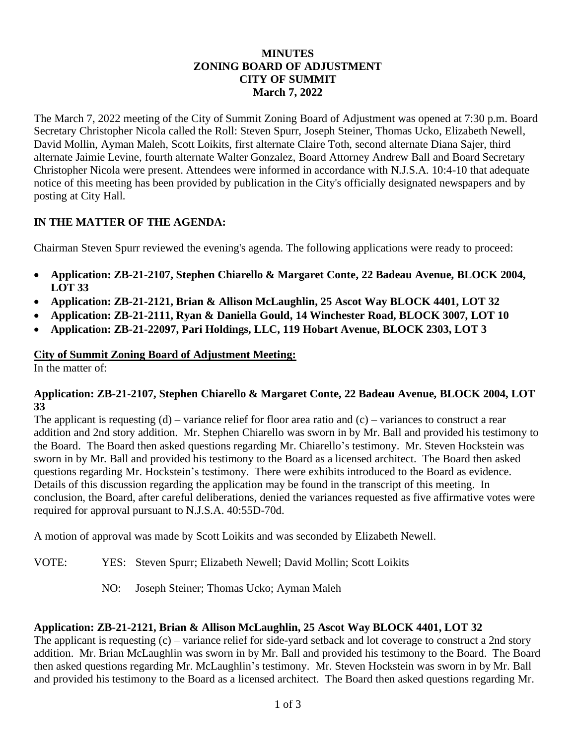### **MINUTES ZONING BOARD OF ADJUSTMENT CITY OF SUMMIT March 7, 2022**

The March 7, 2022 meeting of the City of Summit Zoning Board of Adjustment was opened at 7:30 p.m. Board Secretary Christopher Nicola called the Roll: Steven Spurr, Joseph Steiner, Thomas Ucko, Elizabeth Newell, David Mollin, Ayman Maleh, Scott Loikits, first alternate Claire Toth, second alternate Diana Sajer, third alternate Jaimie Levine, fourth alternate Walter Gonzalez, Board Attorney Andrew Ball and Board Secretary Christopher Nicola were present. Attendees were informed in accordance with N.J.S.A. 10:4-10 that adequate notice of this meeting has been provided by publication in the City's officially designated newspapers and by posting at City Hall.

# **IN THE MATTER OF THE AGENDA:**

Chairman Steven Spurr reviewed the evening's agenda. The following applications were ready to proceed:

- **Application: ZB-21-2107, Stephen Chiarello & Margaret Conte, 22 Badeau Avenue, BLOCK 2004, LOT 33**
- **Application: ZB-21-2121, Brian & Allison McLaughlin, 25 Ascot Way BLOCK 4401, LOT 32**
- **Application: ZB-21-2111, Ryan & Daniella Gould, 14 Winchester Road, BLOCK 3007, LOT 10**
- **Application: ZB-21-22097, Pari Holdings, LLC, 119 Hobart Avenue, BLOCK 2303, LOT 3**

#### **City of Summit Zoning Board of Adjustment Meeting:**

In the matter of:

#### **Application: ZB-21-2107, Stephen Chiarello & Margaret Conte, 22 Badeau Avenue, BLOCK 2004, LOT 33**

The applicant is requesting  $(d)$  – variance relief for floor area ratio and  $(c)$  – variances to construct a rear addition and 2nd story addition. Mr. Stephen Chiarello was sworn in by Mr. Ball and provided his testimony to the Board. The Board then asked questions regarding Mr. Chiarello's testimony. Mr. Steven Hockstein was sworn in by Mr. Ball and provided his testimony to the Board as a licensed architect. The Board then asked questions regarding Mr. Hockstein's testimony. There were exhibits introduced to the Board as evidence. Details of this discussion regarding the application may be found in the transcript of this meeting. In conclusion, the Board, after careful deliberations, denied the variances requested as five affirmative votes were required for approval pursuant to N.J.S.A. 40:55D-70d.

A motion of approval was made by Scott Loikits and was seconded by Elizabeth Newell.

- VOTE: YES: Steven Spurr; Elizabeth Newell; David Mollin; Scott Loikits
	- NO: Joseph Steiner; Thomas Ucko; Ayman Maleh

### **Application: ZB-21-2121, Brian & Allison McLaughlin, 25 Ascot Way BLOCK 4401, LOT 32**

The applicant is requesting (c) – variance relief for side-yard setback and lot coverage to construct a 2nd story addition. Mr. Brian McLaughlin was sworn in by Mr. Ball and provided his testimony to the Board. The Board then asked questions regarding Mr. McLaughlin's testimony. Mr. Steven Hockstein was sworn in by Mr. Ball and provided his testimony to the Board as a licensed architect. The Board then asked questions regarding Mr.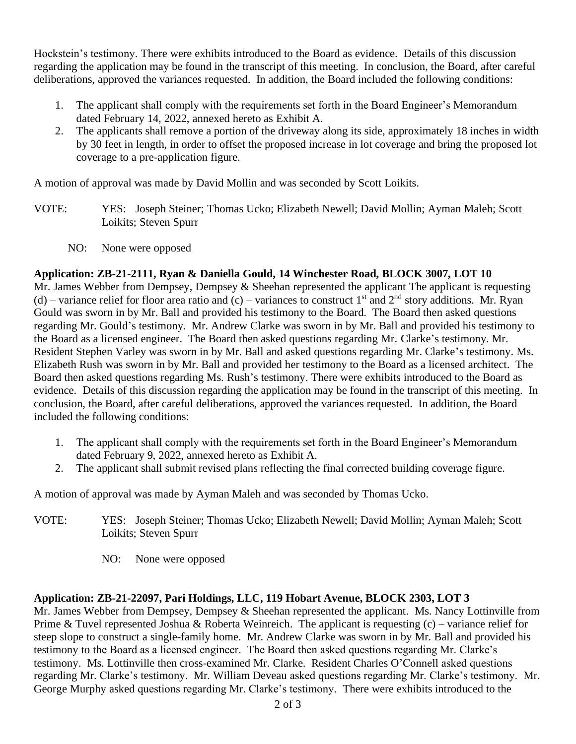Hockstein's testimony. There were exhibits introduced to the Board as evidence. Details of this discussion regarding the application may be found in the transcript of this meeting. In conclusion, the Board, after careful deliberations, approved the variances requested. In addition, the Board included the following conditions:

- 1. The applicant shall comply with the requirements set forth in the Board Engineer's Memorandum dated February 14, 2022, annexed hereto as Exhibit A.
- 2. The applicants shall remove a portion of the driveway along its side, approximately 18 inches in width by 30 feet in length, in order to offset the proposed increase in lot coverage and bring the proposed lot coverage to a pre-application figure.

A motion of approval was made by David Mollin and was seconded by Scott Loikits.

- VOTE: YES: Joseph Steiner; Thomas Ucko; Elizabeth Newell; David Mollin; Ayman Maleh; Scott Loikits; Steven Spurr
	- NO: None were opposed

# **Application: ZB-21-2111, Ryan & Daniella Gould, 14 Winchester Road, BLOCK 3007, LOT 10**

Mr. James Webber from Dempsey, Dempsey & Sheehan represented the applicant The applicant is requesting (d) – variance relief for floor area ratio and (c) – variances to construct 1<sup>st</sup> and 2<sup>nd</sup> story additions. Mr. Ryan Gould was sworn in by Mr. Ball and provided his testimony to the Board. The Board then asked questions regarding Mr. Gould's testimony. Mr. Andrew Clarke was sworn in by Mr. Ball and provided his testimony to the Board as a licensed engineer. The Board then asked questions regarding Mr. Clarke's testimony. Mr. Resident Stephen Varley was sworn in by Mr. Ball and asked questions regarding Mr. Clarke's testimony. Ms. Elizabeth Rush was sworn in by Mr. Ball and provided her testimony to the Board as a licensed architect. The Board then asked questions regarding Ms. Rush's testimony. There were exhibits introduced to the Board as evidence. Details of this discussion regarding the application may be found in the transcript of this meeting. In conclusion, the Board, after careful deliberations, approved the variances requested. In addition, the Board included the following conditions:

- 1. The applicant shall comply with the requirements set forth in the Board Engineer's Memorandum dated February 9, 2022, annexed hereto as Exhibit A.
- 2. The applicant shall submit revised plans reflecting the final corrected building coverage figure.

A motion of approval was made by Ayman Maleh and was seconded by Thomas Ucko.

- VOTE: YES: Joseph Steiner; Thomas Ucko; Elizabeth Newell; David Mollin; Ayman Maleh; Scott Loikits; Steven Spurr
	- NO: None were opposed

### **Application: ZB-21-22097, Pari Holdings, LLC, 119 Hobart Avenue, BLOCK 2303, LOT 3**

Mr. James Webber from Dempsey, Dempsey & Sheehan represented the applicant. Ms. Nancy Lottinville from Prime & Tuvel represented Joshua & Roberta Weinreich. The applicant is requesting  $(c)$  – variance relief for steep slope to construct a single-family home. Mr. Andrew Clarke was sworn in by Mr. Ball and provided his testimony to the Board as a licensed engineer. The Board then asked questions regarding Mr. Clarke's testimony. Ms. Lottinville then cross-examined Mr. Clarke. Resident Charles O'Connell asked questions regarding Mr. Clarke's testimony. Mr. William Deveau asked questions regarding Mr. Clarke's testimony. Mr. George Murphy asked questions regarding Mr. Clarke's testimony. There were exhibits introduced to the